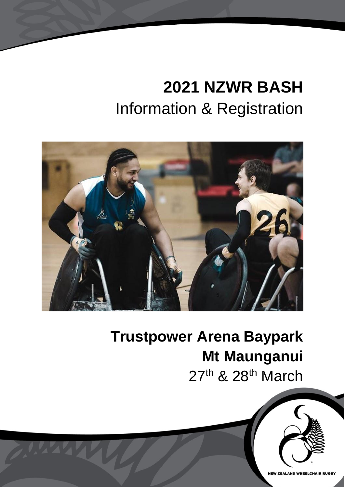# **2021 NZWR BASH** Information & Registration



## **Trustpower Arena Baypark Mt Maunganui** 27<sup>th</sup> & 28<sup>th</sup> March

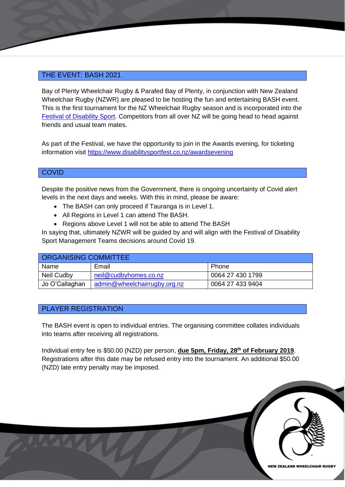#### THE EVENT: BASH 2021

Bay of Plenty Wheelchair Rugby & Parafed Bay of Plenty, in conjunction with New Zealand Wheelchair Rugby (NZWR) are pleased to be hosting the fun and entertaining BASH event. This is the first tournament for the NZ Wheelchair Rugby season and is incorporated into the [Festival of Disability Sport.](https://www.disabilitysportfest.co.nz/) Competitors from all over NZ will be going head to head against friends and usual team mates.

As part of the Festival, we have the opportunity to join in the Awards evening, for ticketing information visit<https://www.disabilitysportfest.co.nz/awardsevening>

#### **COVID**

Despite the positive news from the Government, there is ongoing uncertainty of Covid alert levels in the next days and weeks. With this in mind, please be aware:

- The BASH can only proceed if Tauranga is in Level 1.
- All Regions in Level 1 can attend The BASH.
- Regions above Level 1 will not be able to attend The BASH

In saying that, ultimately NZWR will be guided by and will align with the Festival of Disability Sport Management Teams decisions around Covid 19.

| <b>ORGANISING COMMITTEE</b> |                              |                  |  |  |
|-----------------------------|------------------------------|------------------|--|--|
| Name                        | Email                        | Phone            |  |  |
| Neil Cudby                  | neil@cudbyhomes.co.nz        | 0064 27 430 1799 |  |  |
| Jo O'Callaghan              | admin@wheelchairrugby.org.nz | 0064 27 433 9404 |  |  |

#### PLAYER REGISTRATION

The BASH event is open to individual entries. The organising committee collates individuals into teams after receiving all registrations.

Individual entry fee is \$50.00 (NZD) per person, **due 5pm, Friday, 28 th of February 2019**. Registrations after this date may be refused entry into the tournament. An additional \$50.00 (NZD) late entry penalty may be imposed.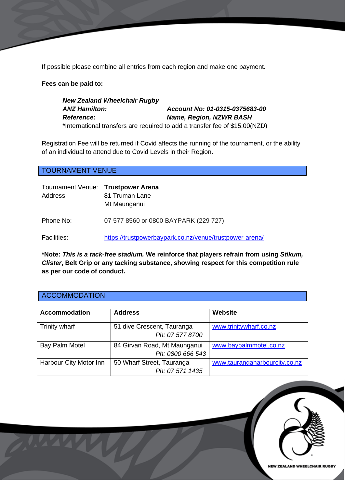If possible please combine all entries from each region and make one payment.

#### **Fees can be paid to:**

*New Zealand Wheelchair Rugby ANZ Hamilton: Account No: 01-0315-0375683-00 Reference: Name, Region, NZWR BASH* \*International transfers are required to add a transfer fee of \$15.00(NZD)

Registration Fee will be returned if Covid affects the running of the tournament, or the ability of an individual to attend due to Covid Levels in their Region.

TOURNAMENT VENUE

| Tournament Venue: Trustpower Arena<br>Address: | 81 Truman Lane<br>Mt Maunganui                          |
|------------------------------------------------|---------------------------------------------------------|
| Phone No:                                      | 07 577 8560 or 0800 BAYPARK (229 727)                   |
| <b>Facilities:</b>                             | https://trustpowerbaypark.co.nz/venue/trustpower-arena/ |

**\*Note:** *This is a tack-free stadium.* **We reinforce that players refrain from using** *Stikum, Clister***, Belt Grip or any tacking substance, showing respect for this competition rule as per our code of conduct.**

#### **ACCOMMODATION**

| <b>Accommodation</b>   | <b>Address</b>                                   | Website                       |
|------------------------|--------------------------------------------------|-------------------------------|
| Trinity wharf          | 51 dive Crescent, Tauranga<br>Ph: 07 577 8700    | www.trinitywharf.co.nz        |
| Bay Palm Motel         | 84 Girvan Road, Mt Maunganui<br>Ph: 0800 666 543 | www.baypalmmotel.co.nz        |
| Harbour City Motor Inn | 50 Wharf Street, Tauranga<br>Ph: 07 571 1435     | www.taurangaharbourcity.co.nz |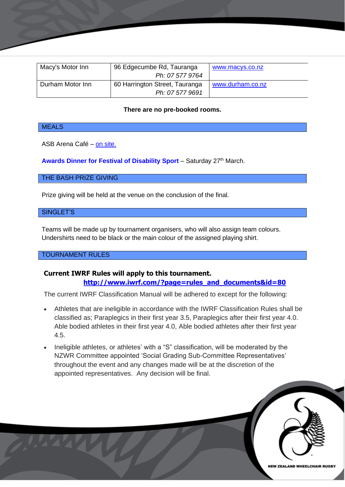| Macy's Motor Inn | 96 Edgecumbe Rd, Tauranga      | www.macys.co.nz  |
|------------------|--------------------------------|------------------|
|                  | Ph: 07 577 9764                |                  |
| Durham Motor Inn | 60 Harrington Street, Tauranga | www.durham.co.nz |
|                  | Ph: 07 577 9691                |                  |

#### **There are no pre-booked rooms.**

#### **MEALS**

ASB Arena Café – [on site.](https://trustpowerbaypark.co.nz/services/catering/trustpower-arena-cafe/)

**Awards [Dinner for Festival of Disability Sport](https://www.disabilitysportfest.co.nz/awardsevening)** – Saturday 27th March.

#### THE BASH PRIZE GIVING

Prize giving will be held at the venue on the conclusion of the final.

#### SINGLET'S

Teams will be made up by tournament organisers, who will also assign team colours. Undershirts need to be black or the main colour of the assigned playing shirt.

#### TOURNAMENT RULES

### **Current IWRF Rules will apply to this tournament.**

**[http://www.iwrf.com/?page=rules\\_and\\_documents&id=80](http://www.iwrf.com/?page=rules_and_documents&id=80)**

The current IWRF Classification Manual will be adhered to except for the following:

- Athletes that are ineligible in accordance with the IWRF Classification Rules shall be classified as; Paraplegics in their first year 3.5, Paraplegics after their first year 4.0. Able bodied athletes in their first year 4.0, Able bodied athletes after their first year 4.5.
- Ineligible athletes, or athletes' with a "S" classification, will be moderated by the NZWR Committee appointed 'Social Grading Sub-Committee Representatives' throughout the event and any changes made will be at the discretion of the appointed representatives. Any decision will be final.

**NEW ZEALAND WHEELCHAIR RUGBY**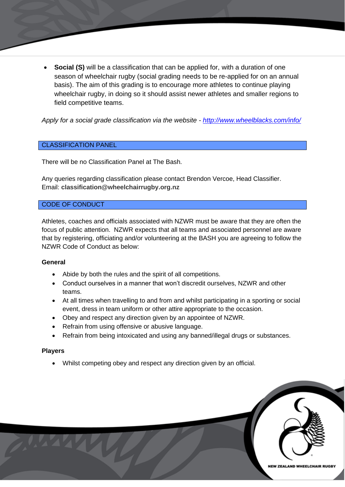**Social (S)** will be a classification that can be applied for, with a duration of one season of wheelchair rugby (social grading needs to be re-applied for on an annual basis). The aim of this grading is to encourage more athletes to continue playing wheelchair rugby, in doing so it should assist newer athletes and smaller regions to field competitive teams.

*Apply for a social grade classification via the website - <http://www.wheelblacks.com/info/>*

#### CLASSIFICATION PANEL

There will be no Classification Panel at The Bash.

Any queries regarding classification please contact Brendon Vercoe, Head Classifier. Email: **classification@wheelchairrugby.org.nz**

#### CODE OF CONDUCT

Athletes, coaches and officials associated with NZWR must be aware that they are often the focus of public attention. NZWR expects that all teams and associated personnel are aware that by registering, officiating and/or volunteering at the BASH you are agreeing to follow the NZWR Code of Conduct as below:

#### **General**

- Abide by both the rules and the spirit of all competitions.
- Conduct ourselves in a manner that won't discredit ourselves, NZWR and other teams.
- At all times when travelling to and from and whilst participating in a sporting or social event, dress in team uniform or other attire appropriate to the occasion.
- Obey and respect any direction given by an appointee of NZWR.
- Refrain from using offensive or abusive language.
- Refrain from being intoxicated and using any banned/illegal drugs or substances.

#### **Players**

• Whilst competing obey and respect any direction given by an official.